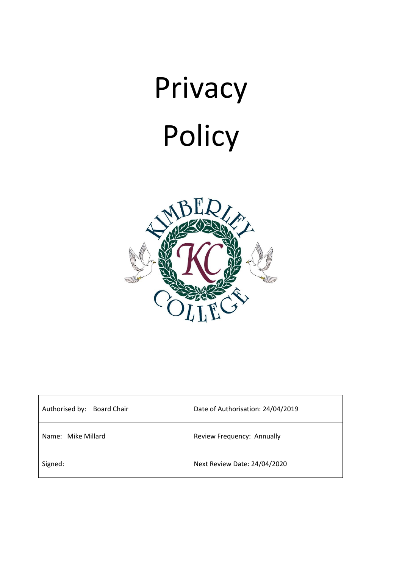

| Authorised by:<br><b>Board Chair</b> | Date of Authorisation: 24/04/2019 |
|--------------------------------------|-----------------------------------|
| Name: Mike Millard                   | Review Frequency: Annually        |
| Signed:                              | Next Review Date: 24/04/2020      |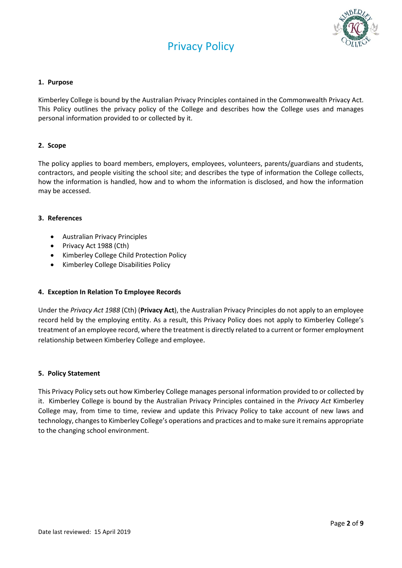



## **1. Purpose**

Kimberley College is bound by the Australian Privacy Principles contained in the Commonwealth Privacy Act. This Policy outlines the privacy policy of the College and describes how the College uses and manages personal information provided to or collected by it.

## **2. Scope**

The policy applies to board members, employers, employees, volunteers, parents/guardians and students, contractors, and people visiting the school site; and describes the type of information the College collects, how the information is handled, how and to whom the information is disclosed, and how the information may be accessed.

## **3. References**

- Australian Privacy Principles
- Privacy Act 1988 (Cth)
- Kimberley College Child Protection Policy
- Kimberley College Disabilities Policy

## **4. Exception In Relation To Employee Records**

Under the *Privacy Act 1988* (Cth) (**Privacy Act**), the Australian Privacy Principles do not apply to an employee record held by the employing entity. As a result, this Privacy Policy does not apply to Kimberley College's treatment of an employee record, where the treatment is directly related to a current or former employment relationship between Kimberley College and employee.

#### **5. Policy Statement**

This Privacy Policy sets out how Kimberley College manages personal information provided to or collected by it. Kimberley College is bound by the Australian Privacy Principles contained in the *Privacy Act* Kimberley College may, from time to time, review and update this Privacy Policy to take account of new laws and technology, changes to Kimberley College's operations and practices and to make sure it remains appropriate to the changing school environment.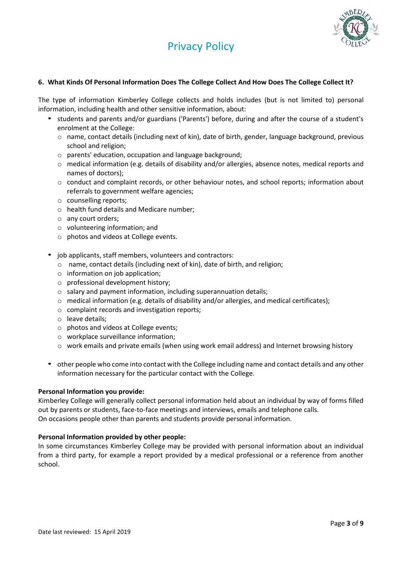

## **6. What Kinds Of Personal Information Does The College Collect And How Does The College Collect It?**

The type of information Kimberley College collects and holds includes (but is not limited to) personal information, including health and other sensitive information, about:

- students and parents and/or guardians ('Parents') before, during and after the course of a student's enrolment at the College:
	- o name, contact details (including next of kin), date of birth, gender, language background, previous school and religion;
	- o parents' education, occupation and language background;
	- o medical information (e.g. details of disability and/or allergies, absence notes, medical reports and names of doctors);
	- o conduct and complaint records, or other behaviour notes, and school reports; information about referrals to government welfare agencies;
	- o counselling reports;
	- o health fund details and Medicare number;
	- o any court orders;
	- o volunteering information; and
	- o photos and videos at College events.
- job applicants, staff members, volunteers and contractors:
	- o name, contact details (including next of kin), date of birth, and religion;
	- o information on job application;
	- o professional development history;
	- o salary and payment information, including superannuation details;
	- $\circ$  medical information (e.g. details of disability and/or allergies, and medical certificates);
	- o complaint records and investigation reports;
	- o leave details;
	- o photos and videos at College events;
	- o workplace surveillance information;
	- $\circ$  work emails and private emails (when using work email address) and Internet browsing history
- other people who come into contact with the College including name and contact details and any other information necessary for the particular contact with the College.

#### **Personal Information you provide:**

Kimberley College will generally collect personal information held about an individual by way of forms filled out by parents or students, face-to-face meetings and interviews, emails and telephone calls. On occasions people other than parents and students provide personal information.

## **Personal Information provided by other people:**

In some circumstances Kimberley College may be provided with personal information about an individual from a third party, for example a report provided by a medical professional or a reference from another school.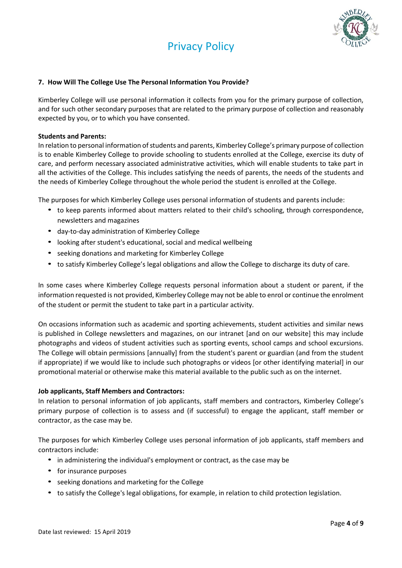



## **7. How Will The College Use The Personal Information You Provide?**

Kimberley College will use personal information it collects from you for the primary purpose of collection, and for such other secondary purposes that are related to the primary purpose of collection and reasonably expected by you, or to which you have consented.

## **Students and Parents:**

In relation to personal information of students and parents, Kimberley College's primary purpose of collection is to enable Kimberley College to provide schooling to students enrolled at the College, exercise its duty of care, and perform necessary associated administrative activities, which will enable students to take part in all the activities of the College. This includes satisfying the needs of parents, the needs of the students and the needs of Kimberley College throughout the whole period the student is enrolled at the College.

The purposes for which Kimberley College uses personal information of students and parents include:

- to keep parents informed about matters related to their child's schooling, through correspondence, newsletters and magazines
- day-to-day administration of Kimberley College
- looking after student's educational, social and medical wellbeing
- seeking donations and marketing for Kimberley College
- to satisfy Kimberley College's legal obligations and allow the College to discharge its duty of care.

In some cases where Kimberley College requests personal information about a student or parent, if the information requested is not provided, Kimberley College may not be able to enrol or continue the enrolment of the student or permit the student to take part in a particular activity.

On occasions information such as academic and sporting achievements, student activities and similar news is published in College newsletters and magazines, on our intranet [and on our website] this may include photographs and videos of student activities such as sporting events, school camps and school excursions. The College will obtain permissions [annually] from the student's parent or guardian (and from the student if appropriate) if we would like to include such photographs or videos [or other identifying material] in our promotional material or otherwise make this material available to the public such as on the internet.

## **Job applicants, Staff Members and Contractors:**

In relation to personal information of job applicants, staff members and contractors, Kimberley College's primary purpose of collection is to assess and (if successful) to engage the applicant, staff member or contractor, as the case may be.

The purposes for which Kimberley College uses personal information of job applicants, staff members and contractors include:

- in administering the individual's employment or contract, as the case may be
- for insurance purposes
- seeking donations and marketing for the College
- to satisfy the College's legal obligations, for example, in relation to child protection legislation.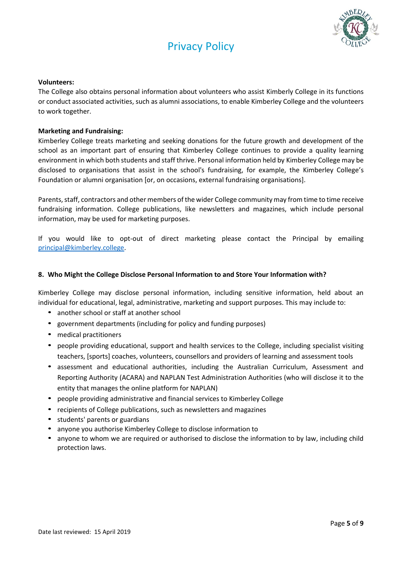

## **Volunteers:**

The College also obtains personal information about volunteers who assist Kimberly College in its functions or conduct associated activities, such as alumni associations, to enable Kimberley College and the volunteers to work together.

## **Marketing and Fundraising:**

Kimberley College treats marketing and seeking donations for the future growth and development of the school as an important part of ensuring that Kimberley College continues to provide a quality learning environment in which both students and staff thrive. Personal information held by Kimberley College may be disclosed to organisations that assist in the school's fundraising, for example, the Kimberley College's Foundation or alumni organisation [or, on occasions, external fundraising organisations].

Parents, staff, contractors and other members of the wider College community may from time to time receive fundraising information. College publications, like newsletters and magazines, which include personal information, may be used for marketing purposes.

If you would like to opt-out of direct marketing please contact the Principal by emailing [principal@kimberley.college.](mailto:principal@kimberley.college)

# **8. Who Might the College Disclose Personal Information to and Store Your Information with?**

Kimberley College may disclose personal information, including sensitive information, held about an individual for educational, legal, administrative, marketing and support purposes. This may include to:

- another school or staff at another school
- government departments (including for policy and funding purposes)
- medical practitioners
- people providing educational, support and health services to the College, including specialist visiting teachers, [sports] coaches, volunteers, counsellors and providers of learning and assessment tools
- assessment and educational authorities, including the Australian Curriculum, Assessment and Reporting Authority (ACARA) and NAPLAN Test Administration Authorities (who will disclose it to the entity that manages the online platform for NAPLAN)
- people providing administrative and financial services to Kimberley College
- recipients of College publications, such as newsletters and magazines
- students' parents or guardians
- anyone you authorise Kimberley College to disclose information to
- anyone to whom we are required or authorised to disclose the information to by law, including child protection laws.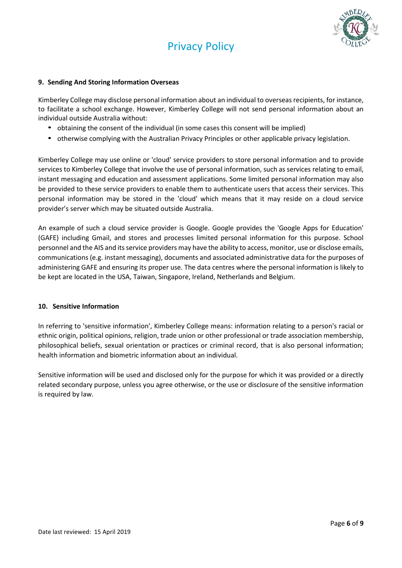

## **9. Sending And Storing Information Overseas**

Kimberley College may disclose personal information about an individual to overseas recipients, for instance, to facilitate a school exchange. However, Kimberley College will not send personal information about an individual outside Australia without:

- obtaining the consent of the individual (in some cases this consent will be implied)
- otherwise complying with the Australian Privacy Principles or other applicable privacy legislation.

Kimberley College may use online or 'cloud' service providers to store personal information and to provide services to Kimberley College that involve the use of personal information, such as services relating to email, instant messaging and education and assessment applications. Some limited personal information may also be provided to these service providers to enable them to authenticate users that access their services. This personal information may be stored in the 'cloud' which means that it may reside on a cloud service provider's server which may be situated outside Australia.

An example of such a cloud service provider is Google. Google provides the 'Google Apps for Education' (GAFE) including Gmail, and stores and processes limited personal information for this purpose. School personnel and the AIS and its service providers may have the ability to access, monitor, use or disclose emails, communications (e.g. instant messaging), documents and associated administrative data for the purposes of administering GAFE and ensuring its proper use. The data centres where the personal information is likely to be kept are located in the USA, Taiwan, Singapore, Ireland, Netherlands and Belgium.

## **10. Sensitive Information**

In referring to 'sensitive information', Kimberley College means: information relating to a person's racial or ethnic origin, political opinions, religion, trade union or other professional or trade association membership, philosophical beliefs, sexual orientation or practices or criminal record, that is also personal information; health information and biometric information about an individual.

Sensitive information will be used and disclosed only for the purpose for which it was provided or a directly related secondary purpose, unless you agree otherwise, or the use or disclosure of the sensitive information is required by law.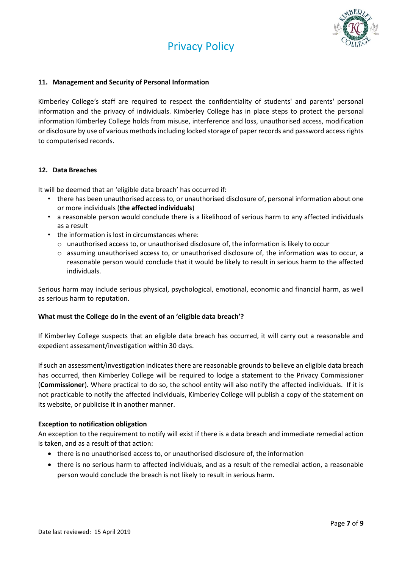

## **11. Management and Security of Personal Information**

Kimberley College's staff are required to respect the confidentiality of students' and parents' personal information and the privacy of individuals. Kimberley College has in place steps to protect the personal information Kimberley College holds from misuse, interference and loss, unauthorised access, modification or disclosure by use of various methods including locked storage of paper records and password access rights to computerised records.

## **12. Data Breaches**

It will be deemed that an 'eligible data breach' has occurred if:

- there has been unauthorised access to, or unauthorised disclosure of, personal information about one or more individuals (**the affected individuals**)
- a reasonable person would conclude there is a likelihood of serious harm to any affected individuals as a result
- the information is lost in circumstances where:
	- $\circ$  unauthorised access to, or unauthorised disclosure of, the information is likely to occur
	- o assuming unauthorised access to, or unauthorised disclosure of, the information was to occur, a reasonable person would conclude that it would be likely to result in serious harm to the affected individuals.

Serious harm may include serious physical, psychological, emotional, economic and financial harm, as well as serious harm to reputation.

## **What must the College do in the event of an 'eligible data breach'?**

If Kimberley College suspects that an eligible data breach has occurred, it will carry out a reasonable and expedient assessment/investigation within 30 days.

If such an assessment/investigation indicates there are reasonable grounds to believe an eligible data breach has occurred, then Kimberley College will be required to lodge a statement to the Privacy Commissioner (**Commissioner**). Where practical to do so, the school entity will also notify the affected individuals. If it is not practicable to notify the affected individuals, Kimberley College will publish a copy of the statement on its website, or publicise it in another manner.

## **Exception to notification obligation**

An exception to the requirement to notify will exist if there is a data breach and immediate remedial action is taken, and as a result of that action:

- there is no unauthorised access to, or unauthorised disclosure of, the information
- there is no serious harm to affected individuals, and as a result of the remedial action, a reasonable person would conclude the breach is not likely to result in serious harm.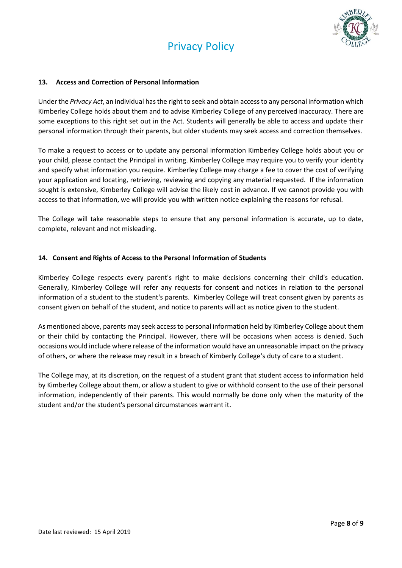



# **13. Access and Correction of Personal Information**

Under the *Privacy Act*, an individual has the right to seek and obtain access to any personal information which Kimberley College holds about them and to advise Kimberley College of any perceived inaccuracy. There are some exceptions to this right set out in the Act. Students will generally be able to access and update their personal information through their parents, but older students may seek access and correction themselves.

To make a request to access or to update any personal information Kimberley College holds about you or your child, please contact the Principal in writing. Kimberley College may require you to verify your identity and specify what information you require. Kimberley College may charge a fee to cover the cost of verifying your application and locating, retrieving, reviewing and copying any material requested. If the information sought is extensive, Kimberley College will advise the likely cost in advance. If we cannot provide you with access to that information, we will provide you with written notice explaining the reasons for refusal.

The College will take reasonable steps to ensure that any personal information is accurate, up to date, complete, relevant and not misleading.

## **14. Consent and Rights of Access to the Personal Information of Students**

Kimberley College respects every parent's right to make decisions concerning their child's education. Generally, Kimberley College will refer any requests for consent and notices in relation to the personal information of a student to the student's parents. Kimberley College will treat consent given by parents as consent given on behalf of the student, and notice to parents will act as notice given to the student.

As mentioned above, parents may seek access to personal information held by Kimberley College about them or their child by contacting the Principal. However, there will be occasions when access is denied. Such occasions would include where release of the information would have an unreasonable impact on the privacy of others, or where the release may result in a breach of Kimberly College's duty of care to a student.

The College may, at its discretion, on the request of a student grant that student access to information held by Kimberley College about them, or allow a student to give or withhold consent to the use of their personal information, independently of their parents. This would normally be done only when the maturity of the student and/or the student's personal circumstances warrant it.